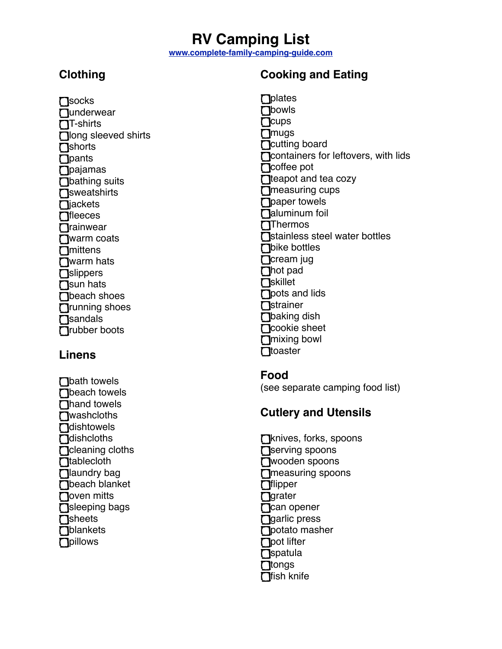# **RV Camping List**

**[www.complete-family-camping-guide.com](http://www.complete-family-camping-guide.com)**

# **Clothing**

**N**socks **Qunderwear**  $\Pi$ -shirts **nong** sleeved shirts **n**shorts  $\Gamma$  pants **D**pajamas **T**bathing suits **n**sweatshirts  $Pi$ iackets  $\prod$ fleeces **T**rainwear **□**warm coats **n**mittens **T**warm hats **□**slippers  $\prod$ sun hats **Theach shoes** Trunning shoes **□**sandals Trubber boots

#### **Linens**

**D**bath towels **T**beach towels □hand towels **T**Washcloths **n**dishtowels **n**dishcloths **n** cleaning cloths **n**tablecloth **D**laundry bag **D**beach blanket **□**oven mitts sleeping bags **n**sheets **n**blankets **n**pillows

## **Cooking and Eating**

 $\Box$ plates **n**bowls  $C$ cups **n**ugs **C**cutting board **T** containers for leftovers, with lids  $\Box$ coffee pot **teapot and tea cozy T** measuring cups □ paper towels **naluminum** foil **T**Thermos **N** Stainless steel water bottles **D**bike bottles **n**Cream jug hot pad  $\prod$ skillet **pots and lids n**strainer **T**baking dish **n**cookie sheet mixing bowl **n**toaster

#### **Food**

(see separate camping food list)

#### **Cutlery and Utensils**

Tknives, forks, spoons Serving spoons wooden spoons **Ineasuring spoons**  $\Box$ flipper **grater C**can opener **D**arlic press **n**potato masher  $\bigcap$  pot lifter **n**spatula  $T$ tongs  $\Box$ fish knife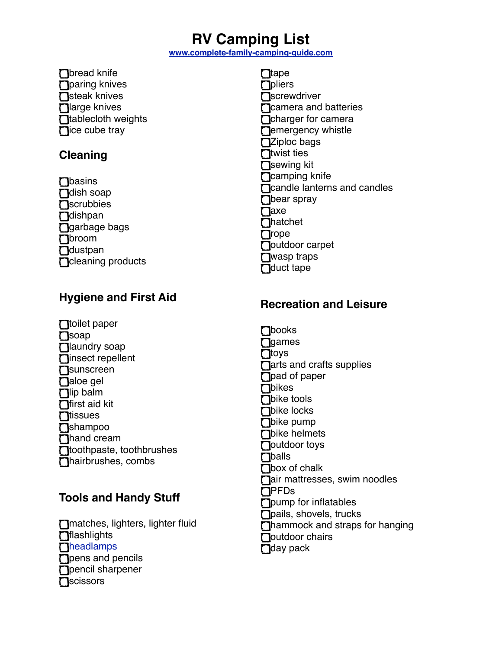# **RV Camping List**

**[www.complete-family-camping-guide.com](http://www.complete-family-camping-guide.com)**

**n**bread knife **n** paring knives  $\bigcap$ steak knives  $\prod$ large knives **n**tablecloth weights  $\Box$ ice cube tray

### **Cleaning**

 $\Box$ basins **D**dish soap **n**Scrubbies **D**dishpan □garbage bags broom **D**dustpan **n**cleaning products

## **Hygiene and First Aid**

**□**toilet paper  $\prod$ soap **D**laundry soap **ninsect repellent n**sunscreen **Daloe** gel  $\prod$ lip balm  $\prod$ first aid kit  $\Box$ tissues **T**shampoo Thand cream **n**toothpaste, toothbrushes hairbrushes, combs

# **Tools and Handy Stuff**

matches, lighters, lighter fluid  $\Box$ flashlights **T[headlamps](http://www.complete-family-camping-guide.com/best-headlamp.html) T** pens and pencils **D**pencil sharpener **n**scissors

 $\prod$ tape **n**pliers **n**Screwdriver Ticamera and batteries **C**charger for camera **Demergency whistle T**Ziploc bags  $\prod$ twist ties Sewing kit **n**Camping knife Tcandle lanterns and candles **Thear spray □**axe **n**hatchet  $\Box$ rope Doutdoor carpet **□**wasp traps **D**duct tape

## **Recreation and Leisure**

**n**books  $\Box$ games **n**toys  $\Box$ arts and crafts supplies □ pad of paper **D**bikes **Thike tools Thike locks D**bike pump **Thike helmets D**outdoor toys **Thalls**  $\bigcap$ box of chalk **nair mattresses, swim noodles**  $\Gamma$ PFDs **T** pump for inflatables **nails**, shovels, trucks Thammock and straps for hanging  $\Gamma$ outdoor chairs  $\Box$ day pack